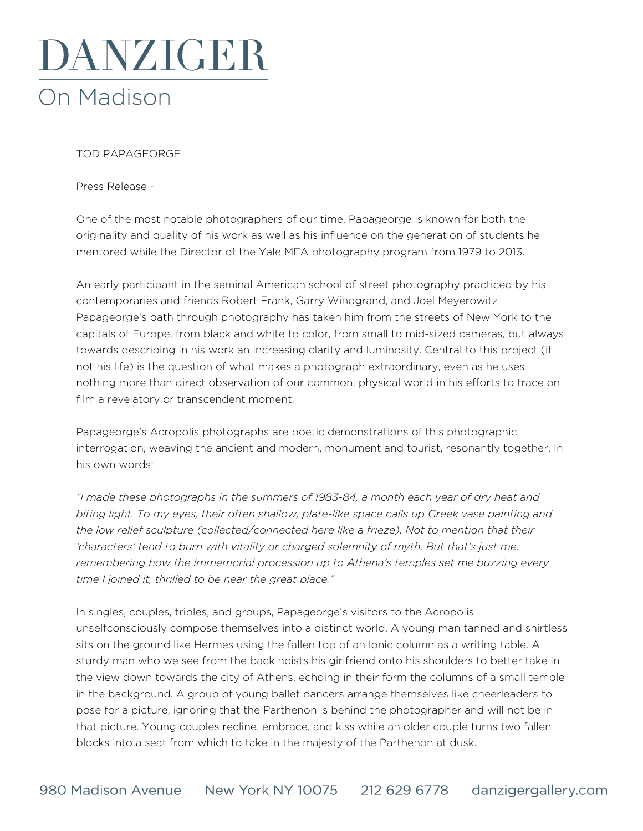## DANZIGER On Madison

## TOD PAPAGEORGE

## Press Release -

One of the most notable photographers of our time, Papageorge is known for both the originality and quality of his work as well as his influence on the generation of students he mentored while the Director of the Yale MFA photography program from 1979 to 2013.

An early participant in the seminal American school of street photography practiced by his contemporaries and friends Robert Frank, Garry Winogrand, and Joel Meyerowitz, Papageorge's path through photography has taken him from the streets of New York to the capitals of Europe, from black and white to color, from small to mid-sized cameras, but always towards describing in his work an increasing clarity and luminosity. Central to this project (if not his life) is the question of what makes a photograph extraordinary, even as he uses nothing more than direct observation of our common, physical world in his efforts to trace on film a revelatory or transcendent moment.

Papageorge's Acropolis photographs are poetic demonstrations of this photographic interrogation, weaving the ancient and modern, monument and tourist, resonantly together. In his own words:

*"I made these photographs in the summers of 1983-84, a month each year of dry heat and biting light. To my eyes, their often shallow, plate-like space calls up Greek vase painting and the low relief sculpture (collected/connected here like a frieze). Not to mention that their 'characters' tend to burn with vitality or charged solemnity of myth. But that's just me, remembering how the immemorial procession up to Athena's temples set me buzzing every time I joined it, thrilled to be near the great place."*

In singles, couples, triples, and groups, Papageorge's visitors to the Acropolis unselfconsciously compose themselves into a distinct world. A young man tanned and shirtless sits on the ground like Hermes using the fallen top of an Ionic column as a writing table. A sturdy man who we see from the back hoists his girlfriend onto his shoulders to better take in the view down towards the city of Athens, echoing in their form the columns of a small temple in the background. A group of young ballet dancers arrange themselves like cheerleaders to pose for a picture, ignoring that the Parthenon is behind the photographer and will not be in that picture. Young couples recline, embrace, and kiss while an older couple turns two fallen blocks into a seat from which to take in the majesty of the Parthenon at dusk.